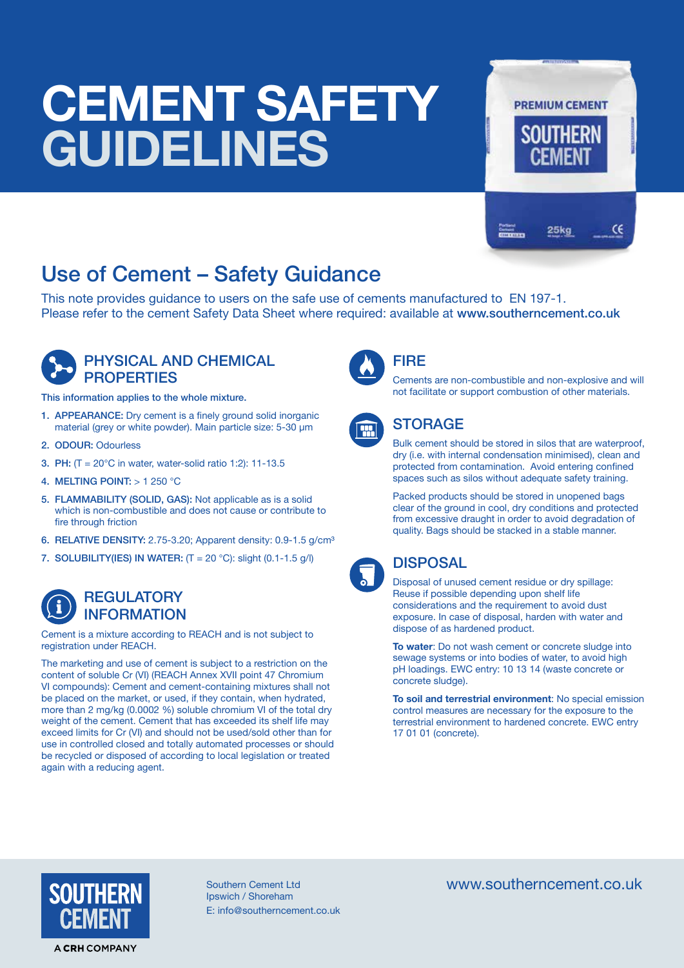# **CEMENT SAFETY GUIDELINES**

# **PREMIUM CEMENT** CE  $25k<sub>a</sub>$

## Use of Cement – Safety Guidance

This note provides guidance to users on the safe use of cements manufactured to EN 197-1. Please refer to the cement Safety Data Sheet where required: available at www.southerncement.co.uk



### PHYSICAL AND CHEMICAL **PROPERTIES**

This information applies to the whole mixture.

- 1. APPEARANCE: Dry cement is a finely ground solid inorganic material (grey or white powder). Main particle size: 5-30 µm
- 2. ODOUR: Odourless
- 3. PH: (T = 20°C in water, water-solid ratio 1:2): 11-13.5
- 4. MELTING POINT: > 1 250 °C
- 5. FLAMMABILITY (SOLID, GAS): Not applicable as is a solid which is non-combustible and does not cause or contribute to fire through friction
- 6. RELATIVE DENSITY: 2.75-3.20; Apparent density: 0.9-1.5 g/cm<sup>3</sup>
- 7. SOLUBILITY(IES) IN WATER:  $(T = 20 °C)$ : slight (0.1-1.5 g/l)

### **REGULATORY** INFORMATION

Cement is a mixture according to REACH and is not subject to registration under REACH.

The marketing and use of cement is subject to a restriction on the content of soluble Cr (VI) (REACH Annex XVII point 47 Chromium VI compounds): Cement and cement-containing mixtures shall not be placed on the market, or used, if they contain, when hydrated, more than 2 mg/kg (0.0002 %) soluble chromium VI of the total dry weight of the cement. Cement that has exceeded its shelf life may exceed limits for Cr (VI) and should not be used/sold other than for use in controlled closed and totally automated processes or should be recycled or disposed of according to local legislation or treated again with a reducing agent.



### FIRE

Cements are non-combustible and non-explosive and will not facilitate or support combustion of other materials.



### **STORAGE**

Bulk cement should be stored in silos that are waterproof, dry (i.e. with internal condensation minimised), clean and protected from contamination. Avoid entering confined spaces such as silos without adequate safety training.

Packed products should be stored in unopened bags clear of the ground in cool, dry conditions and protected from excessive draught in order to avoid degradation of quality. Bags should be stacked in a stable manner.



### DISPOSAL

Disposal of unused cement residue or dry spillage: Reuse if possible depending upon shelf life considerations and the requirement to avoid dust exposure. In case of disposal, harden with water and dispose of as hardened product.

**To water**: Do not wash cement or concrete sludge into sewage systems or into bodies of water, to avoid high pH loadings. EWC entry: 10 13 14 (waste concrete or concrete sludge).

**To soil and terrestrial environment**: No special emission control measures are necessary for the exposure to the terrestrial environment to hardened concrete. EWC entry 17 01 01 (concrete).



Ipswich / Shoreham E: info@southerncement.co.uk

Southern Cement Ltd www.southerncement.co.uk